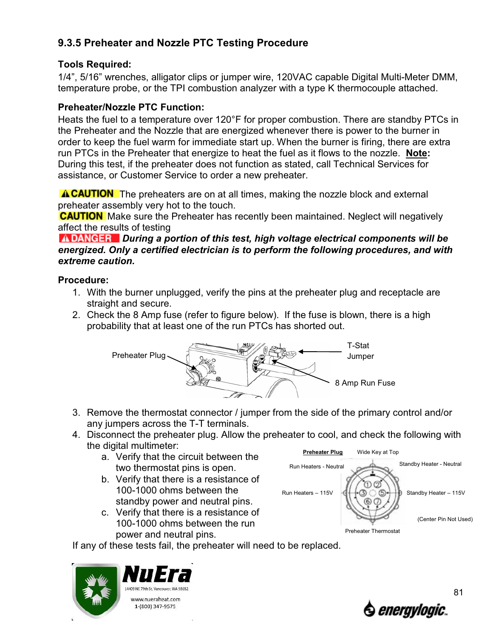## **9.3.5 Preheater and Nozzle PTC Testing Procedure**

## **Tools Required:**

1/4", 5/16" wrenches, alligator clips or jumper wire, 120VAC capable Digital Multi-Meter DMM, temperature probe, or the TPI combustion analyzer with a type K thermocouple attached.

## **Preheater/Nozzle PTC Function:**

Heats the fuel to a temperature over 120°F for proper combustion. There are standby PTCs in the Preheater and the Nozzle that are energized whenever there is power to the burner in order to keep the fuel warm for immediate start up. When the burner is firing, there are extra run PTCs in the Preheater that energize to heat the fuel as it flows to the nozzle. **Note:** During this test, if the preheater does not function as stated, call Technical Services for assistance, or Customer Service to order a new preheater.

**A CAUTION** The preheaters are on at all times, making the nozzle block and external preheater assembly very hot to the touch.

**CAUTION** Make sure the Preheater has recently been maintained. Neglect will negatively affect the results of testing

*A DANGER* During a portion of this test, high voltage electrical components will be *energized. Only a certified electrician is to perform the following procedures, and with extreme caution.*

## **Procedure:**

- 1. With the burner unplugged, verify the pins at the preheater plug and receptacle are straight and secure.
- 2. Check the 8 Amp fuse (refer to figure below). If the fuse is blown, there is a high probability that at least one of the run PTCs has shorted out.



- 3. Remove the thermostat connector / jumper from the side of the primary control and/or any jumpers across the T-T terminals.
- 4. Disconnect the preheater plug. Allow the preheater to cool, and check the following with the digital multimeter:
	- a. Verify that the circuit between the two thermostat pins is open.
	- b. Verify that there is a resistance of 100-1000 ohms between the standby power and neutral pins.
	- c. Verify that there is a resistance of 100-1000 ohms between the run power and neutral pins.



If any of these tests fail, the preheater will need to be replaced.